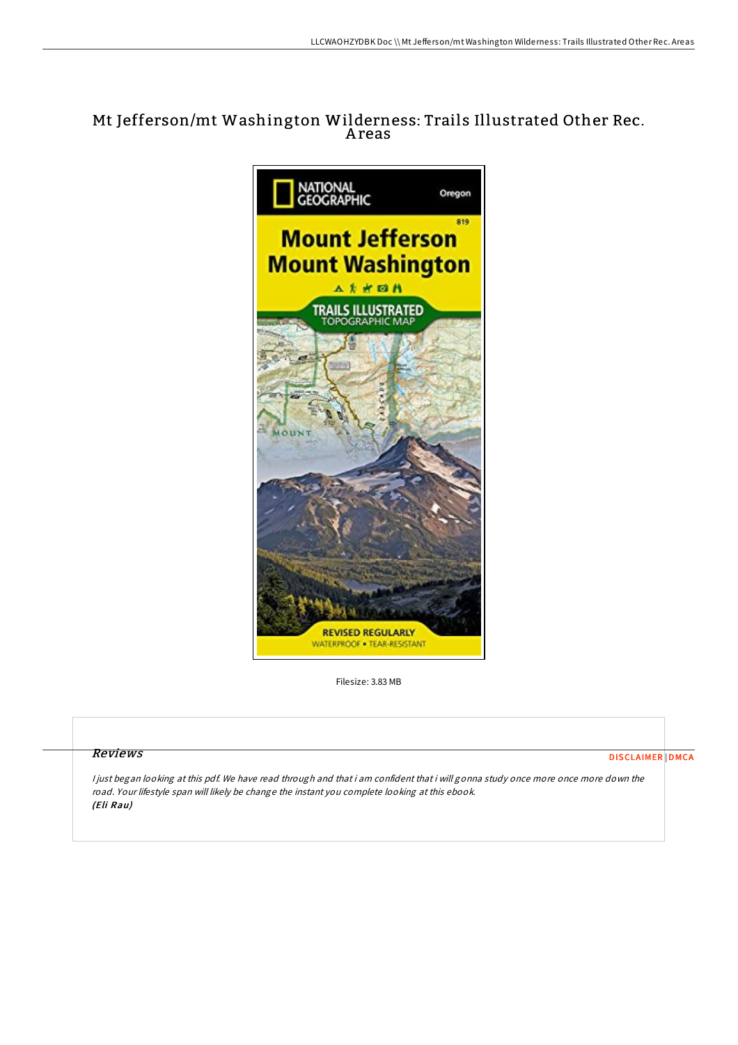# Mt Jefferson/mt Washington Wilderness: Trails Illustrated Other Rec. A reas



Filesize: 3.83 MB

## Reviews

[DISCLAIMER](http://almighty24.tech/disclaimer.html) [DMCA](http://almighty24.tech/dmca.html)

<sup>I</sup> just began looking at this pdf. We have read through and that i am confident that i will gonna study once more once more down the road. Your lifestyle span will likely be change the instant you complete looking at this ebook. (Eli Rau)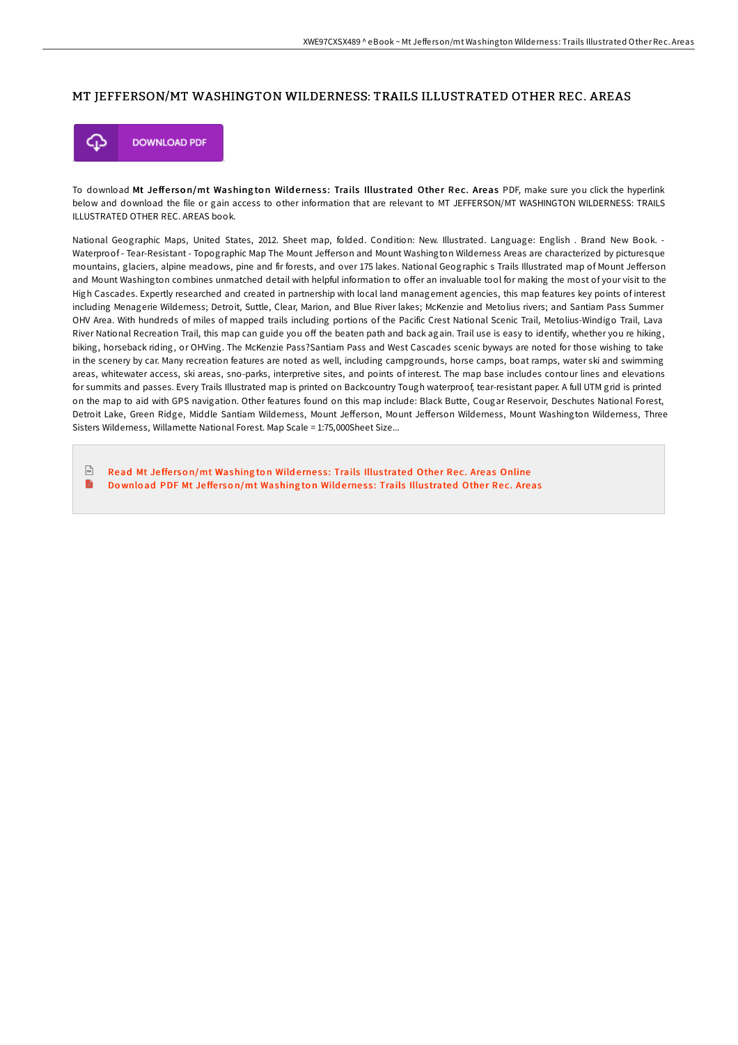#### MT JEFFERSON/MT WASHINGTON WILDERNESS: TRAILS ILLUSTRATED OTHER REC. AREAS



To download Mt Jefferson/mt Washington Wilderness: Trails Illustrated Other Rec. Areas PDF, make sure you click the hyperlink below and download the file or gain access to other information that are relevant to MT JEFFERSON/MT WASHINGTON WILDERNESS: TRAILS ILLUSTRATED OTHER REC. AREAS book.

National Geographic Maps, United States, 2012. Sheet map, folded. Condition: New. Illustrated. Language: English . Brand New Book. - Waterproof - Tear-Resistant - Topographic Map The Mount Jefferson and Mount Washington Wilderness Areas are characterized by picturesque mountains, glaciers, alpine meadows, pine and fir forests, and over 175 lakes. National Geographic s Trails Illustrated map of Mount Jefferson and Mount Washington combines unmatched detail with helpful information to offer an invaluable tool for making the most of your visit to the High Cascades. Expertly researched and created in partnership with local land management agencies, this map features key points of interest including Menagerie Wilderness; Detroit, Suttle, Clear, Marion, and Blue River lakes; McKenzie and Metolius rivers; and Santiam Pass Summer OHV Area. With hundreds of miles of mapped trails including portions of the Pacific Crest National Scenic Trail, Metolius-Windigo Trail, Lava River National Recreation Trail, this map can guide you off the beaten path and back again. Trail use is easy to identify, whether you re hiking, biking, horseback riding, or OHVing. The McKenzie Pass?Santiam Pass and West Cascades scenic byways are noted for those wishing to take in the scenery by car. Many recreation features are noted as well, including campgrounds, horse camps, boat ramps, water ski and swimming areas, whitewater access, ski areas, sno-parks, interpretive sites, and points of interest. The map base includes contour lines and elevations for summits and passes. Every Trails Illustrated map is printed on Backcountry Tough waterproof, tear-resistant paper. A full UTM grid is printed on the map to aid with GPS navigation. Other features found on this map include: Black Butte, Cougar Reservoir, Deschutes National Forest, Detroit Lake, Green Ridge, Middle Santiam Wilderness, Mount Jefferson, Mount Jefferson Wilderness, Mount Washington Wilderness, Three Sisters Wilderness, Willamette National Forest. Map Scale = 1:75,000Sheet Size...

 $\mathbb{R}$ Read Mt Jefferson/mt [Washing](http://almighty24.tech/mt-jefferson-x2f-mt-washington-wilderness-trails.html)ton Wilderness: Trails Illustrated Other Rec. Areas Online E Download PDF Mt Jefferson/mt [Washing](http://almighty24.tech/mt-jefferson-x2f-mt-washington-wilderness-trails.html)ton Wilderness: Trails Illustrated Other Rec. Areas